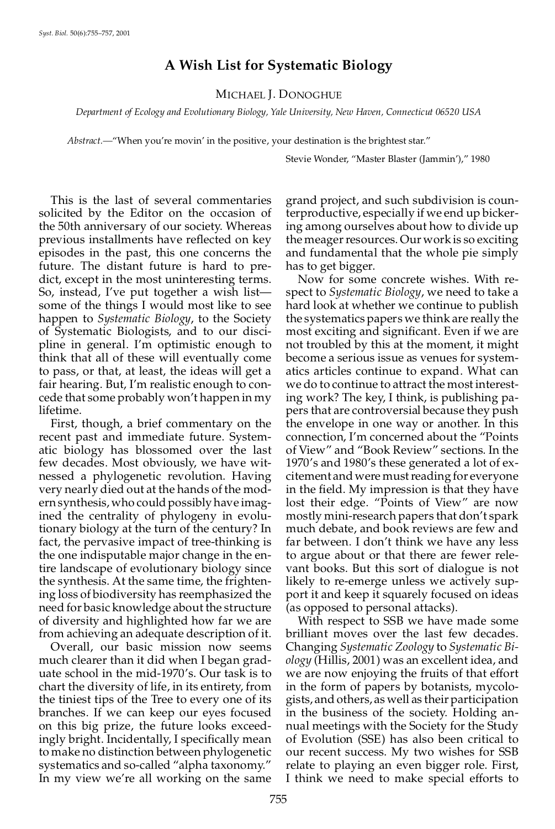## **A Wish List for Systematic Biology**

MICHAEL J. DONOGHUE

*Department of Ecology and Evolutionary Biology, Yale University, New Haven, Connecticut 06520 USA*

*Abstract.*—"When you're movin' in the positive, your destination is the brightest star."

Stevie Wonder, "Master Blaster (Jammin')," 1980

This is the last of several commentaries solicited by the Editor on the occasion of the 50th anniversary of our society. Whereas previous installments have reflected on key episodes in the past, this one concerns the future. The distant future is hard to pre dict, except in the most uninteresting terms. So, instead, I've put together a wish list some of the things I would most like to see happen to *Systematic Biology*, to the Society of Systematic Biologists, and to our disci pline in general. I'm optimistic enough to think that all of these will eventually come to pass, or that, at least, the ideas will get a fair hearing. But, I'm realistic enough to con cede that some probably won't happen in my lifetime.

First, though, a brief commentary on the recent past and immediate future. System atic biology has blossomed over the last few decades. Most obviously, we have wit nessed a phylogenetic revolution. Having very nearly died out at the hands of the mod ern synthesis, who could possibly have imagined the centrality of phylogeny in evolutionary biology at the turn of the century? In fact, the pervasive impact of tree-thinking is the one indisputable major change in the entire landscape of evolutionary biology since the synthesis. At the same time, the frightening loss of biodiversity has reemphasized the need for basic knowledge about the structure of diversity and highlighted how far we are from achieving an adequate description of it.

Overall, our basic mission now seems much clearer than it did when I began graduate school in the mid-1970's. Our task is to chart the diversity of life, in its entirety, from the tiniest tips of the Tree to every one of its branches. If we can keep our eyes focused on this big prize, the future looks exceedingly bright. Incidentally, I specifically mean to make no distinction between phylogenetic systematics and so-called "alpha taxonomy." In my view we're all working on the same

grand project, and such subdivision is counterproductive, especially if we end up bickering among ourselves about how to divide up the meager resources. Our work is so exciting and fundamental that the whole pie simply has to get bigger.

Now for some concrete wishes. With re spect to *Systematic Biology*, we need to take a hard look at whether we continue to publish the systematics papers we think are really the most exciting and significant. Even if we are not troubled by this at the moment, it might become a serious issue as venues for system atics articles continue to expand. What can we do to continue to attract the most interesting work? The key, I think, is publishing pa pers that are controversial because they push the envelope in one way or another. In this connection, I'm concerned about the "Points of View" and "Book Review" sections. In the 1970's and 1980's these generated a lot of ex citement and were mustreading for everyone in the field. My impression is that they have lost their edge. "Points of View" are now mostly mini-research papers that don't spark much debate, and book reviews are few and far between. I don't think we have any less to argue about or that there are fewer rele vant books. But this sort of dialogue is not likely to re-emerge unless we actively sup port it and keep it squarely focused on ideas (as opposed to personal attacks).

With respect to SSB we have made some brilliant moves over the last few decades. Changing *Systematic Zoology* to *Systematic Bi ology* (Hillis, 2001) was an excellent idea, and we are now enjoying the fruits of that effort in the form of papers by botanists, mycolo gists, and others, as well as their participation in the business of the society. Holding an nual meetings with the Society for the Study of Evolution (SSE) has also been critical to our recent success. My two wishes for SSB relate to playing an even bigger role. First, I think we need to make special efforts to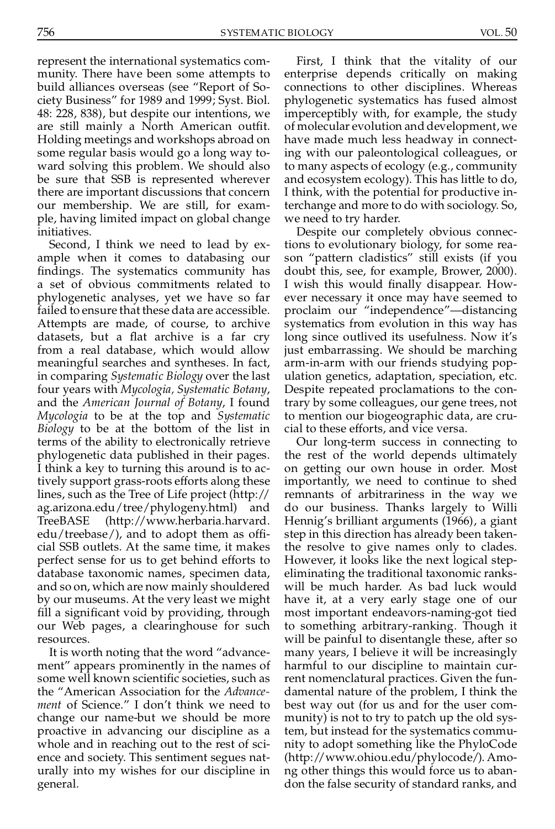represent the international systematics com munity. There have been some attempts to build alliances overseas (see "Report of So ciety Business" for 1989 and 1999; Syst. Biol. 48: 228, 838), but despite our intentions, we are still mainly a North American outfit. Holding meetings and workshops abroad on some regular basis would go a long way to ward solving this problem. We should also be sure that SSB is represented wherever there are important discussions that concern our membership. We are still, for exam ple, having limited impact on global change initiatives.

Second, I think we need to lead by ex ample when it comes to databasing our findings. The systematics community has a set of obvious commitments related to phylogenetic analyses, yet we have so far failed to ensure that these data are accessible. Attempts are made, of course, to archive datasets, but a flat archive is a far cry from a real database, which would allow meaningful searches and syntheses. In fact, in comparing *Systematic Biology* over the last four years with *Mycologia, Systematic Botany*, and the *American Journal of Botany*, I found *Mycologia* to be at the top and *Systematic Biology* to be at the bottom of the list in terms of the ability to electronically retrieve phylogenetic data published in their pages. I think a key to turning this around is to actively support grass-roots efforts along these lines, such as the Tree of Life project (http:// ag.arizona.edu/tree/phylogeny.html) and TreeBASE (http://www.herbaria.harvard.  $edu/treebase$ ), and to adopt them as official SSB outlets. At the same time, it makes perfect sense for us to get behind efforts to database taxonomic names, specimen data, and so on, which are now mainly shouldered by our museums. At the very least we might fill a significant void by providing, through our Web pages, a clearinghouse for such resources.

It is worth noting that the word "advance ment" appears prominently in the names of some well known scientific societies, such as the "American Association for the *Advancement* of Science." I don't think we need to change our name-but we should be more proactive in advancing our discipline as a whole and in reaching out to the rest of sci ence and society. This sentiment segues nat urally into my wishes for our discipline in general.

First, I think that the vitality of our enterprise depends critically on making connections to other disciplines. Whereas phylogenetic systematics has fused almost imperceptibly with, for example, the study of molecular evolution and development, we have made much less headway in connecting with our paleontological colleagues, or to many aspects of ecology (e.g., community and ecosystem ecology). This has little to do, I think, with the potential for productive interchange and more to do with sociology. So, we need to try harder.

Despite our completely obvious connections to evolutionary biology, for some rea son "pattern cladistics" still exists (if you doubt this, see, for example, Brower, 2000). I wish this would finally disappear. However necessary it once may have seemed to proclaim our "independence"—distancing systematics from evolution in this way has long since outlived its usefulness. Now it's just embarrassing. We should be marching arm-in-arm with our friends studying pop ulation genetics, adaptation, speciation, etc. Despite repeated proclamations to the contrary by some colleagues, our gene trees, not to mention our biogeographic data, are cru cial to these efforts, and vice versa.

Our long-term success in connecting to the rest of the world depends ultimately on getting our own house in order. Most importantly, we need to continue to shed remnants of arbitrariness in the way we do our business. Thanks largely to Willi Hennig's brilliant arguments (1966), a giant step in this direction has already been takenthe resolve to give names only to clades. However, it looks like the next logical step eliminating the traditional taxonomic ranks will be much harder. As bad luck would have it, at a very early stage one of our most important endeavors-naming-got tied to something arbitrary-ranking. Though it will be painful to disentangle these, after so many years, I believe it will be increasingly harmful to our discipline to maintain cur rent nomenclatural practices. Given the fun damental nature of the problem, I think the best way out (for us and for the user com munity) is not to try to patch up the old system, but instead for the systematics commu nity to adopt something like the PhyloCode (http://www.ohiou.edu/phylocode/). Amo ng other things this would force us to aban don the false security of standard ranks, and